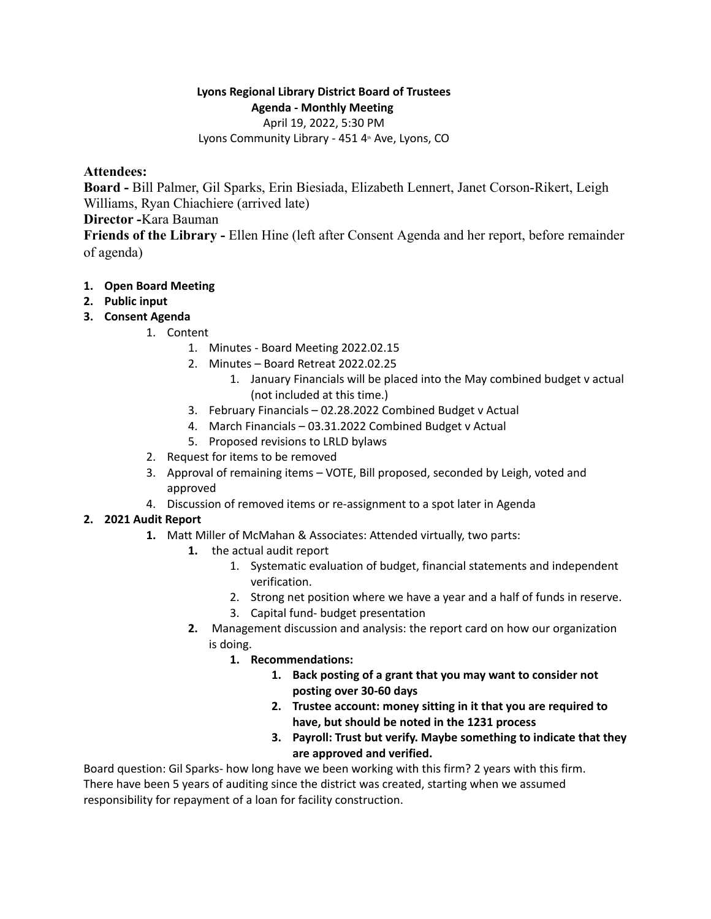# **Lyons Regional Library District Board of Trustees Agenda - Monthly Meeting**

April 19, 2022, 5:30 PM

Lyons Community Library - 451 4<sup>th</sup> Ave, Lyons, CO

## **Attendees:**

**Board -** Bill Palmer, Gil Sparks, Erin Biesiada, Elizabeth Lennert, Janet Corson-Rikert, Leigh Williams, Ryan Chiachiere (arrived late)

## **Director -**Kara Bauman

**Friends of the Library -** Ellen Hine (left after Consent Agenda and her report, before remainder of agenda)

### **1. Open Board Meeting**

- **2. Public input**
- **3. Consent Agenda**
	- 1. Content
		- 1. Minutes Board Meeting 2022.02.15
		- 2. Minutes Board Retreat 2022.02.25
			- 1. January Financials will be placed into the May combined budget v actual (not included at this time.)
		- 3. February Financials 02.28.2022 Combined Budget v Actual
		- 4. March Financials 03.31.2022 Combined Budget v Actual
		- 5. Proposed revisions to LRLD bylaws
	- 2. Request for items to be removed
	- 3. Approval of remaining items VOTE, Bill proposed, seconded by Leigh, voted and approved
	- 4. Discussion of removed items or re-assignment to a spot later in Agenda

# **2. 2021 Audit Report**

- **1.** Matt Miller of McMahan & Associates: Attended virtually, two parts:
	- **1.** the actual audit report
		- 1. Systematic evaluation of budget, financial statements and independent verification.
		- 2. Strong net position where we have a year and a half of funds in reserve.
		- 3. Capital fund- budget presentation
	- **2.** Management discussion and analysis: the report card on how our organization is doing.
		- **1. Recommendations:**
			- **1. Back posting of a grant that you may want to consider not posting over 30-60 days**
			- **2. Trustee account: money sitting in it that you are required to have, but should be noted in the 1231 process**
			- **3. Payroll: Trust but verify. Maybe something to indicate that they are approved and verified.**

Board question: Gil Sparks- how long have we been working with this firm? 2 years with this firm. There have been 5 years of auditing since the district was created, starting when we assumed responsibility for repayment of a loan for facility construction.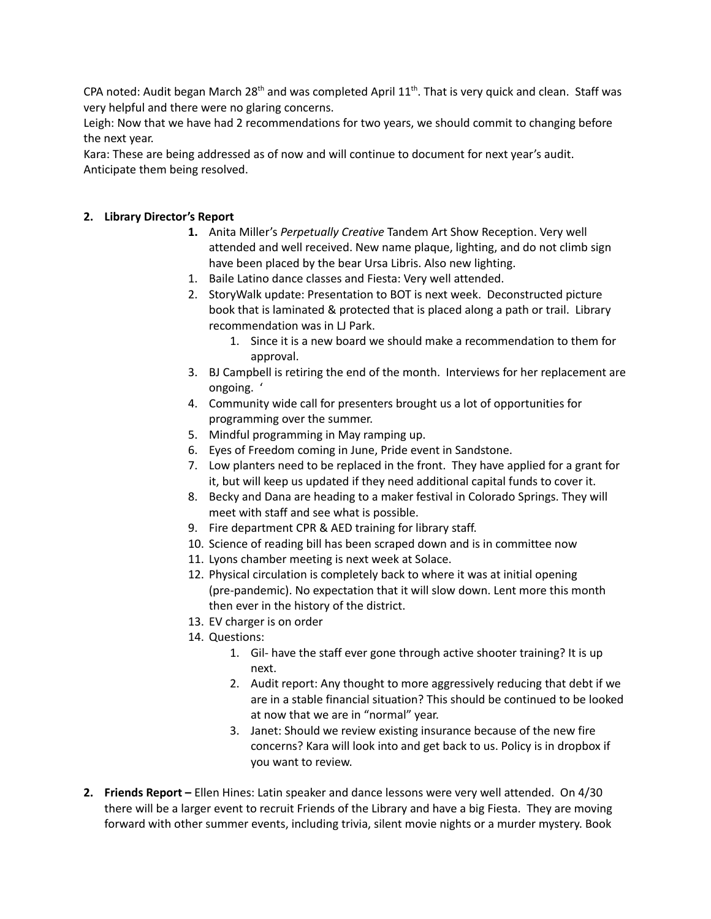CPA noted: Audit began March 28<sup>th</sup> and was completed April 11<sup>th</sup>. That is very quick and clean. Staff was very helpful and there were no glaring concerns.

Leigh: Now that we have had 2 recommendations for two years, we should commit to changing before the next year.

Kara: These are being addressed as of now and will continue to document for next year's audit. Anticipate them being resolved.

#### **2. Library Director's Report**

- **1.** Anita Miller's *Perpetually Creative* Tandem Art Show Reception. Very well attended and well received. New name plaque, lighting, and do not climb sign have been placed by the bear Ursa Libris. Also new lighting.
- 1. Baile Latino dance classes and Fiesta: Very well attended.
- 2. StoryWalk update: Presentation to BOT is next week. Deconstructed picture book that is laminated & protected that is placed along a path or trail. Library recommendation was in LJ Park.
	- 1. Since it is a new board we should make a recommendation to them for approval.
- 3. BJ Campbell is retiring the end of the month. Interviews for her replacement are ongoing. '
- 4. Community wide call for presenters brought us a lot of opportunities for programming over the summer.
- 5. Mindful programming in May ramping up.
- 6. Eyes of Freedom coming in June, Pride event in Sandstone.
- 7. Low planters need to be replaced in the front. They have applied for a grant for it, but will keep us updated if they need additional capital funds to cover it.
- 8. Becky and Dana are heading to a maker festival in Colorado Springs. They will meet with staff and see what is possible.
- 9. Fire department CPR & AED training for library staff.
- 10. Science of reading bill has been scraped down and is in committee now
- 11. Lyons chamber meeting is next week at Solace.
- 12. Physical circulation is completely back to where it was at initial opening (pre-pandemic). No expectation that it will slow down. Lent more this month then ever in the history of the district.
- 13. EV charger is on order
- 14. Questions:
	- 1. Gil- have the staff ever gone through active shooter training? It is up next.
	- 2. Audit report: Any thought to more aggressively reducing that debt if we are in a stable financial situation? This should be continued to be looked at now that we are in "normal" year.
	- 3. Janet: Should we review existing insurance because of the new fire concerns? Kara will look into and get back to us. Policy is in dropbox if you want to review.
- **2. Friends Report –** Ellen Hines: Latin speaker and dance lessons were very well attended. On 4/30 there will be a larger event to recruit Friends of the Library and have a big Fiesta. They are moving forward with other summer events, including trivia, silent movie nights or a murder mystery. Book